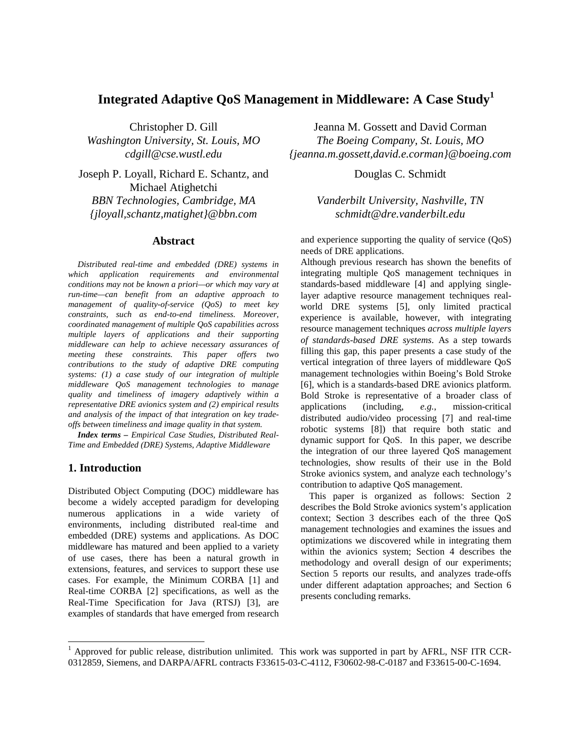# **Integrated Adaptive QoS Management in Middleware: A Case Study 1**

Joseph P. Loyall, Richard E. Schantz, and Michael Atighetchi *BBN Technologies, Cambridge, MA Vanderbilt University, Nashville, TN {jloyall,schantz,matighet}@bbn.com schmidt@dre.vanderbilt.edu*

#### **Abstract**

*Distributed real-time and embedded (DRE) systems in which application requirements and environmental conditions may not be known a priori—or which may vary at run-time—can benefit from an adaptive approach to management of quality-of-service (QoS) to meet key constraints, such as end-to-end timeliness. Moreover, coordinated management of multiple QoS capabilities across multiple layers of applications and their supporting middleware can help to achieve necessary assurances of meeting these constraints. This paper offers two contributions to the study of adaptive DRE computing systems: (1) a case study of our integration of multiple middleware QoS management technologies to manage quality and timeliness of imagery adaptively within a representative DRE avionics system and (2) empirical results and analysis of the impact of that integration on key tradeoffs between timeliness and image quality in that system.*

*Index terms* **–** *Empirical Case Studies, Distributed Real-Time and Embedded (DRE) Systems, Adaptive Middleware*

### **1. Introduction**

Distributed Object Computing (DOC) middleware has become a widely accepted paradigm for developing numerous applications in a wide variety of environments, including distributed real-time and embedded (DRE) systems and applications. As DOC middleware has matured and been applied to a variety of use cases, there has been a natural growth in extensions, features, and services to support these use cases. For example, the Minimum CORBA [1] and Real-time CORBA [2] specifications, as well as the Real-Time Specification for Java (RTSJ) [3], are examples of standards that have emerged from research

Christopher D. Gill Jeanna M. Gossett and David Corman *Washington University, St. Louis, MO The Boeing Company, St. Louis, MO cdgill@cse.wustl.edu {jeanna.m.gossett,david.e.corman}@boeing.com*

Douglas C. Schmidt

and experience supporting the quality of service (QoS) needs of DRE applications.

Although previous research has shown the benefits of integrating multiple QoS management techniques in standards-based middleware [4] and applying singlelayer adaptive resource management techniques realworld DRE systems [5], only limited practical experience is available, however, with integrating resource management techniques *across multiple layers of standards-based DRE systems*. As a step towards filling this gap, this paper presents a case study of the vertical integration of three layers of middleware QoS management technologies within Boeing's Bold Stroke [6], which is a standards-based DRE avionics platform. Bold Stroke is representative of a broader class of applications (including, *e.g.*, mission-critical distributed audio/video processing [7] and real-time robotic systems [8]) that require both static and dynamic support for QoS. In this paper, we describe the integration of our three layered QoS management technologies, show results of their use in the Bold Stroke avionics system, and analyze each technology's contribution to adaptive QoS management.

This paper is organized as follows: Section 2 describes the Bold Stroke avionics system's application context; Section 3 describes each of the three QoS management technologies and examines the issues and optimizations we discovered while in integrating them within the avionics system; Section 4 describes the methodology and overall design of our experiments; Section 5 reports our results, and analyzes trade-offs under different adaptation approaches; and Section 6 presents concluding remarks.

 $<sup>1</sup>$  Approved for public release, distribution unlimited. This work was supported in part by AFRL, NSF ITR CCR-</sup> 0312859, Siemens, and DARPA/AFRL contracts F33615-03-C-4112, F30602-98-C-0187 and F33615-00-C-1694.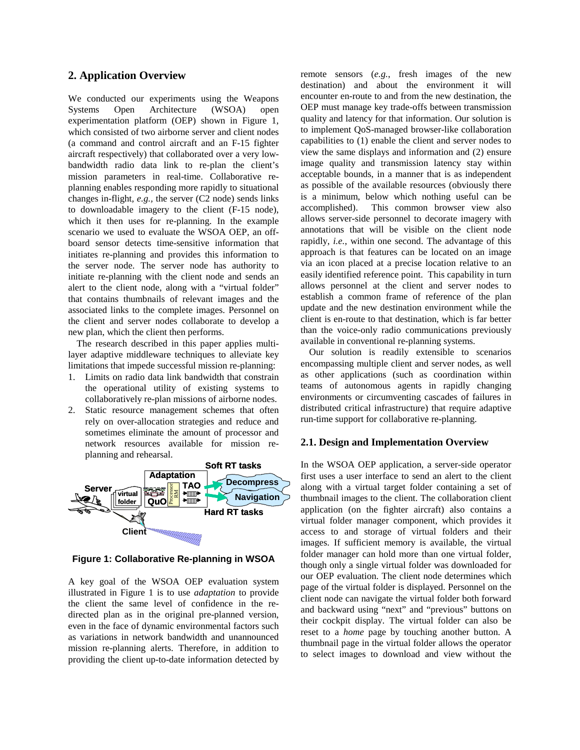### **2. Application Overview**

We conducted our experiments using the Weapons Systems Open Architecture (WSOA) open experimentation platform (OEP) shown in Figure 1, which consisted of two airborne server and client nodes (a command and control aircraft and an F-15 fighter aircraft respectively) that collaborated over a very lowbandwidth radio data link to re-plan the client's mission parameters in real-time. Collaborative replanning enables responding more rapidly to situational changes in-flight*, e.g.,* the server (C2 node) sends links to downloadable imagery to the client (F-15 node), which it then uses for re-planning. In the example scenario we used to evaluate the WSOA OEP, an offboard sensor detects time-sensitive information that initiates re-planning and provides this information to the server node. The server node has authority to initiate re-planning with the client node and sends an alert to the client node, along with a "virtual folder" that contains thumbnails of relevant images and the associated links to the complete images. Personnel on the client and server nodes collaborate to develop a new plan, which the client then performs.

The research described in this paper applies multilayer adaptive middleware techniques to alleviate key limitations that impede successful mission re-planning:

- 1. Limits on radio data link bandwidth that constrain the operational utility of existing systems to collaboratively re-plan missions of airborne nodes.
- 2. Static resource management schemes that often rely on over-allocation strategies and reduce and sometimes eliminate the amount of processor and network resources available for mission replanning and rehearsal.



**Figure 1: Collaborative Re-planning in WSOA**

A key goal of the WSOA OEP evaluation system illustrated in Figure 1 is to use *adaptation* to provide the client the same level of confidence in the redirected plan as in the original pre-planned version, even in the face of dynamic environmental factors such as variations in network bandwidth and unannounced mission re-planning alerts. Therefore, in addition to providing the client up-to-date information detected by remote sensors (*e.g.*, fresh images of the new destination) and about the environment it will encounter en-route to and from the new destination, the OEP must manage key trade-offs between transmission quality and latency for that information. Our solution is to implement QoS-managed browser-like collaboration capabilities to (1) enable the client and server nodes to view the same displays and information and (2) ensure image quality and transmission latency stay within acceptable bounds, in a manner that is as independent as possible of the available resources (obviously there is a minimum, below which nothing useful can be accomplished). This common browser view also allows server-side personnel to decorate imagery with annotations that will be visible on the client node rapidly, *i.e.*, within one second. The advantage of this approach is that features can be located on an image via an icon placed at a precise location relative to an easily identified reference point. This capability in turn allows personnel at the client and server nodes to establish a common frame of reference of the plan update and the new destination environment while the client is en-route to that destination, which is far better than the voice-only radio communications previously available in conventional re-planning systems.

Our solution is readily extensible to scenarios encompassing multiple client and server nodes, as well as other applications (such as coordination within teams of autonomous agents in rapidly changing environments or circumventing cascades of failures in distributed critical infrastructure) that require adaptive run-time support for collaborative re-planning.

#### **2.1. Design and Implementation Overview**

In the WSOA OEP application, a server-side operator first uses a user interface to send an alert to the client along with a virtual target folder containing a set of thumbnail images to the client. The collaboration client application (on the fighter aircraft) also contains a virtual folder manager component, which provides it access to and storage of virtual folders and their images. If sufficient memory is available, the virtual folder manager can hold more than one virtual folder, though only a single virtual folder was downloaded for our OEP evaluation. The client node determines which page of the virtual folder is displayed. Personnel on the client node can navigate the virtual folder both forward and backward using "next" and "previous" buttons on their cockpit display. The virtual folder can also be reset to a *home* page by touching another button. A thumbnail page in the virtual folder allows the operator to select images to download and view without the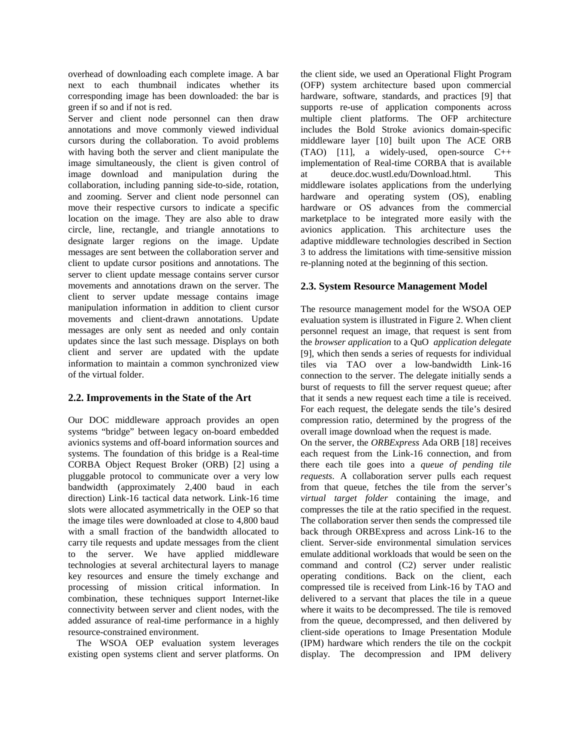overhead of downloading each complete image. A bar next to each thumbnail indicates whether its corresponding image has been downloaded: the bar is green if so and if not is red.

Server and client node personnel can then draw annotations and move commonly viewed individual cursors during the collaboration. To avoid problems with having both the server and client manipulate the image simultaneously, the client is given control of image download and manipulation during the collaboration, including panning side-to-side, rotation, and zooming. Server and client node personnel can move their respective cursors to indicate a specific location on the image. They are also able to draw circle, line, rectangle, and triangle annotations to designate larger regions on the image. Update messages are sent between the collaboration server and client to update cursor positions and annotations. The server to client update message contains server cursor movements and annotations drawn on the server. The client to server update message contains image manipulation information in addition to client cursor movements and client-drawn annotations. Update messages are only sent as needed and only contain updates since the last such message. Displays on both client and server are updated with the update information to maintain a common synchronized view of the virtual folder.

### **2.2. Improvements in the State of the Art**

Our DOC middleware approach provides an open systems "bridge" between legacy on-board embedded avionics systems and off-board information sources and systems. The foundation of this bridge is a Real-time CORBA Object Request Broker (ORB) [2] using a pluggable protocol to communicate over a very low bandwidth (approximately 2,400 baud in each direction) Link-16 tactical data network. Link-16 time slots were allocated asymmetrically in the OEP so that the image tiles were downloaded at close to 4,800 baud with a small fraction of the bandwidth allocated to carry tile requests and update messages from the client to the server. We have applied middleware technologies at several architectural layers to manage key resources and ensure the timely exchange and processing of mission critical information. In combination, these techniques support Internet-like connectivity between server and client nodes, with the added assurance of real-time performance in a highly resource-constrained environment.

The WSOA OEP evaluation system leverages existing open systems client and server platforms. On

the client side, we used an Operational Flight Program (OFP) system architecture based upon commercial hardware, software, standards, and practices [9] that supports re-use of application components across multiple client platforms. The OFP architecture includes the Bold Stroke avionics domain-specific middleware layer [10] built upon The ACE ORB (TAO) [11], a widely-used, open-source C++ implementation of Real-time CORBA that is available at deuce.doc.wustl.edu/Download.html. This middleware isolates applications from the underlying hardware and operating system (OS), enabling hardware or OS advances from the commercial marketplace to be integrated more easily with the avionics application. This architecture uses the adaptive middleware technologies described in Section 3 to address the limitations with time-sensitive mission re-planning noted at the beginning of this section.

### **2.3. System Resource Management Model**

The resource management model for the WSOA OEP evaluation system is illustrated in Figure 2. When client personnel request an image, that request is sent from the *browser application* to a QuO *application delegate* [9], which then sends a series of requests for individual tiles via TAO over a low-bandwidth Link-16 connection to the server. The delegate initially sends a burst of requests to fill the server request queue; after that it sends a new request each time a tile is received. For each request, the delegate sends the tile's desired compression ratio, determined by the progress of the overall image download when the request is made.

On the server, the *ORBExpress* Ada ORB [18] receives each request from the Link-16 connection, and from there each tile goes into a *queue of pending tile requests*. A collaboration server pulls each request from that queue, fetches the tile from the server's *virtual target folder* containing the image, and compresses the tile at the ratio specified in the request. The collaboration server then sends the compressed tile back through ORBExpress and across Link-16 to the client. Server-side environmental simulation services emulate additional workloads that would be seen on the command and control (C2) server under realistic operating conditions. Back on the client, each compressed tile is received from Link-16 by TAO and delivered to a servant that places the tile in a queue where it waits to be decompressed. The tile is removed from the queue, decompressed, and then delivered by client-side operations to Image Presentation Module (IPM) hardware which renders the tile on the cockpit display. The decompression and IPM delivery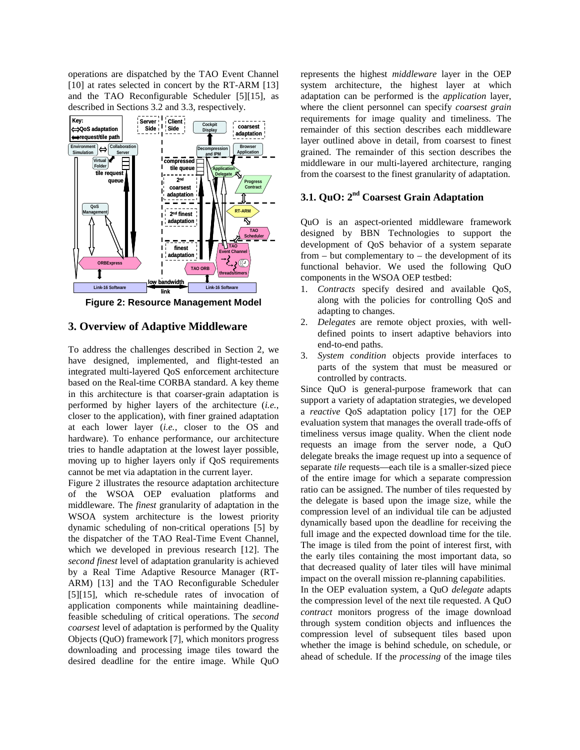operations are dispatched by the TAO Event Channel [10] at rates selected in concert by the RT-ARM [13] and the TAO Reconfigurable Scheduler [5][15], as described in Sections 3.2 and 3.3, respectively.



**Figure 2: Resource Management Model**

### **3. Overview of Adaptive Middleware**

To address the challenges described in Section 2, we have designed, implemented, and flight-tested an integrated multi-layered QoS enforcement architecture based on the Real-time CORBA standard. A key theme in this architecture is that coarser-grain adaptation is performed by higher layers of the architecture (*i.e.*, closer to the application), with finer grained adaptation at each lower layer (*i.e.*, closer to the OS and hardware). To enhance performance, our architecture tries to handle adaptation at the lowest layer possible, moving up to higher layers only if QoS requirements cannot be met via adaptation in the current layer.

Figure 2 illustrates the resource adaptation architecture of the WSOA OEP evaluation platforms and middleware. The *finest* granularity of adaptation in the WSOA system architecture is the lowest priority dynamic scheduling of non-critical operations [5] by the dispatcher of the TAO Real-Time Event Channel, which we developed in previous research [12]. The *second finest* level of adaptation granularity is achieved by a Real Time Adaptive Resource Manager (RT-ARM) [13] and the TAO Reconfigurable Scheduler [5][15], which re-schedule rates of invocation of application components while maintaining deadlinefeasible scheduling of critical operations. The *second coarsest* level of adaptation is performed by the Quality Objects (QuO) framework [7], which monitors progress downloading and processing image tiles toward the desired deadline for the entire image. While QuO

represents the highest *middleware* layer in the OEP system architecture, the highest layer at which adaptation can be performed is the *application* layer, where the client personnel can specify *coarsest grain* requirements for image quality and timeliness. The remainder of this section describes each middleware layer outlined above in detail, from coarsest to finest grained. The remainder of this section describes the middleware in our multi-layered architecture, ranging from the coarsest to the finest granularity of adaptation.

# **3.1. QuO: 2 nd Coarsest Grain Adaptation**

QuO is an aspect-oriented middleware framework designed by BBN Technologies to support the development of QoS behavior of a system separate from – but complementary to – the development of its functional behavior. We used the following QuO components in the WSOA OEP testbed:

- 1. *Contracts* specify desired and available QoS, along with the policies for controlling QoS and adapting to changes.
- 2. *Delegates* are remote object proxies, with welldefined points to insert adaptive behaviors into end-to-end paths.
- 3. *System condition* objects provide interfaces to parts of the system that must be measured or controlled by contracts.

Since QuO is general-purpose framework that can support a variety of adaptation strategies, we developed a *reactive* QoS adaptation policy [17] for the OEP evaluation system that manages the overall trade-offs of timeliness versus image quality. When the client node requests an image from the server node, a QuO delegate breaks the image request up into a sequence of separate *tile* requests—each tile is a smaller-sized piece of the entire image for which a separate compression ratio can be assigned. The number of tiles requested by the delegate is based upon the image size, while the compression level of an individual tile can be adjusted dynamically based upon the deadline for receiving the full image and the expected download time for the tile. The image is tiled from the point of interest first, with the early tiles containing the most important data, so that decreased quality of later tiles will have minimal impact on the overall mission re-planning capabilities.

In the OEP evaluation system, a QuO *delegate* adapts the compression level of the next tile requested. A QuO *contract* monitors progress of the image download through system condition objects and influences the compression level of subsequent tiles based upon whether the image is behind schedule, on schedule, or ahead of schedule. If the *processing* of the image tiles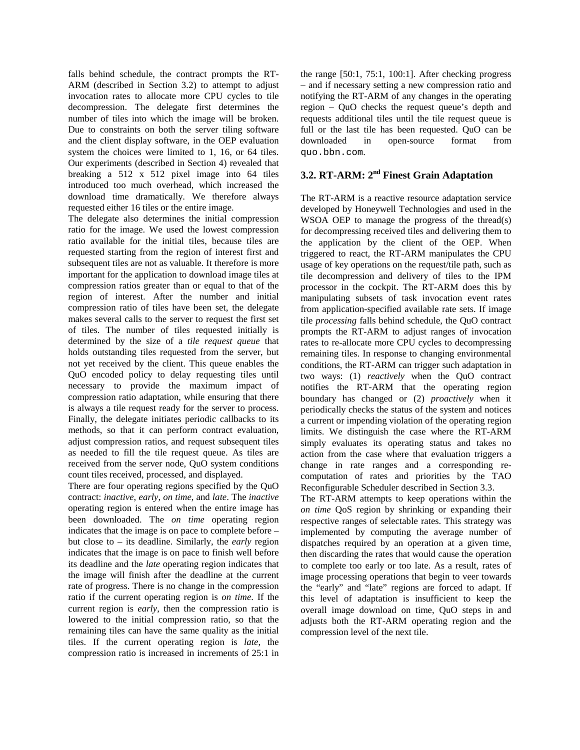falls behind schedule, the contract prompts the RT-ARM (described in Section 3.2) to attempt to adjust invocation rates to allocate more CPU cycles to tile decompression. The delegate first determines the number of tiles into which the image will be broken. Due to constraints on both the server tiling software and the client display software, in the OEP evaluation system the choices were limited to 1, 16, or 64 tiles. Our experiments (described in Section 4) revealed that breaking a 512 x 512 pixel image into 64 tiles introduced too much overhead, which increased the download time dramatically. We therefore always requested either 16 tiles or the entire image.

The delegate also determines the initial compression ratio for the image. We used the lowest compression ratio available for the initial tiles, because tiles are requested starting from the region of interest first and subsequent tiles are not as valuable. It therefore is more important for the application to download image tiles at compression ratios greater than or equal to that of the region of interest. After the number and initial compression ratio of tiles have been set, the delegate makes several calls to the server to request the first set of tiles. The number of tiles requested initially is determined by the size of a *tile request queue* that holds outstanding tiles requested from the server, but not yet received by the client. This queue enables the QuO encoded policy to delay requesting tiles until necessary to provide the maximum impact of compression ratio adaptation, while ensuring that there is always a tile request ready for the server to process. Finally, the delegate initiates periodic callbacks to its methods, so that it can perform contract evaluation, adjust compression ratios, and request subsequent tiles as needed to fill the tile request queue. As tiles are received from the server node, QuO system conditions count tiles received, processed, and displayed.

There are four operating regions specified by the QuO contract: *inactive*, *early*, *on time*, and *late*. The *inactive* operating region is entered when the entire image has been downloaded. The *on time* operating region indicates that the image is on pace to complete before – but close to – its deadline. Similarly, the *early* region indicates that the image is on pace to finish well before its deadline and the *late* operating region indicates that the image will finish after the deadline at the current rate of progress. There is no change in the compression ratio if the current operating region is *on time*. If the current region is *early*, then the compression ratio is lowered to the initial compression ratio, so that the remaining tiles can have the same quality as the initial tiles. If the current operating region is *late*, the compression ratio is increased in increments of 25:1 in

the range [50:1, 75:1, 100:1]. After checking progress – and if necessary setting a new compression ratio and notifying the RT-ARM of any changes in the operating region – QuO checks the request queue's depth and requests additional tiles until the tile request queue is full or the last tile has been requested. QuO can be downloaded in open-source format from quo.bbn.com.

# **3.2. RT-ARM: 2 nd Finest Grain Adaptation**

The RT-ARM is a reactive resource adaptation service developed by Honeywell Technologies and used in the WSOA OEP to manage the progress of the thread(s) for decompressing received tiles and delivering them to the application by the client of the OEP. When triggered to react, the RT-ARM manipulates the CPU usage of key operations on the request/tile path, such as tile decompression and delivery of tiles to the IPM processor in the cockpit. The RT-ARM does this by manipulating subsets of task invocation event rates from application-specified available rate sets. If image tile *processing* falls behind schedule, the QuO contract prompts the RT-ARM to adjust ranges of invocation rates to re-allocate more CPU cycles to decompressing remaining tiles. In response to changing environmental conditions, the RT-ARM can trigger such adaptation in two ways: (1) *reactively* when the QuO contract notifies the RT-ARM that the operating region boundary has changed or (2) *proactively* when it periodically checks the status of the system and notices a current or impending violation of the operating region limits. We distinguish the case where the RT-ARM simply evaluates its operating status and takes no action from the case where that evaluation triggers a change in rate ranges and a corresponding recomputation of rates and priorities by the TAO Reconfigurable Scheduler described in Section 3.3.

The RT-ARM attempts to keep operations within the *on time* QoS region by shrinking or expanding their respective ranges of selectable rates. This strategy was implemented by computing the average number of dispatches required by an operation at a given time, then discarding the rates that would cause the operation to complete too early or too late. As a result, rates of image processing operations that begin to veer towards the "early" and "late" regions are forced to adapt. If this level of adaptation is insufficient to keep the overall image download on time, QuO steps in and adjusts both the RT-ARM operating region and the compression level of the next tile.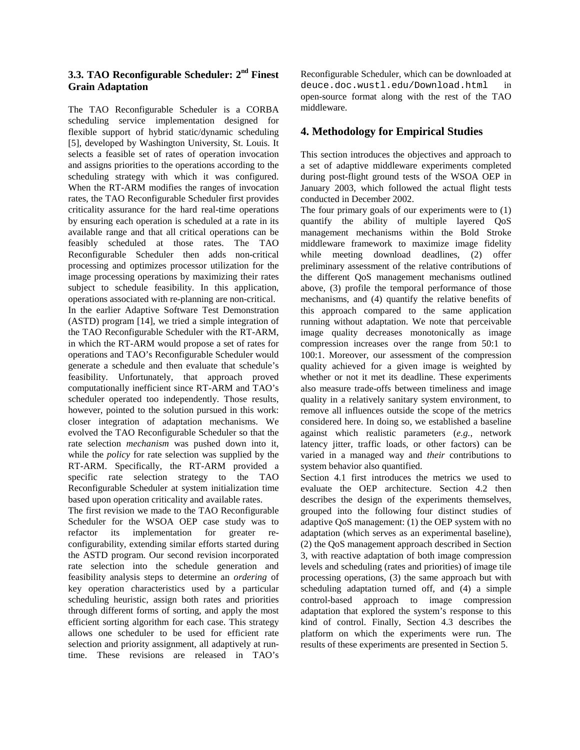### **3.3. TAO Reconfigurable Scheduler: 2 nd Finest Grain Adaptation**

The TAO Reconfigurable Scheduler is a CORBA scheduling service implementation designed for flexible support of hybrid static/dynamic scheduling [5], developed by Washington University, St. Louis. It selects a feasible set of rates of operation invocation and assigns priorities to the operations according to the scheduling strategy with which it was configured. When the RT-ARM modifies the ranges of invocation rates, the TAO Reconfigurable Scheduler first provides criticality assurance for the hard real-time operations by ensuring each operation is scheduled at a rate in its available range and that all critical operations can be feasibly scheduled at those rates. The TAO Reconfigurable Scheduler then adds non-critical processing and optimizes processor utilization for the image processing operations by maximizing their rates subject to schedule feasibility. In this application, operations associated with re-planning are non-critical. In the earlier Adaptive Software Test Demonstration (ASTD) program [14], we tried a simple integration of the TAO Reconfigurable Scheduler with the RT-ARM, in which the RT-ARM would propose a set of rates for operations and TAO's Reconfigurable Scheduler would generate a schedule and then evaluate that schedule's feasibility. Unfortunately, that approach proved computationally inefficient since RT-ARM and TAO's scheduler operated too independently. Those results, however, pointed to the solution pursued in this work: closer integration of adaptation mechanisms. We evolved the TAO Reconfigurable Scheduler so that the rate selection *mechanism* was pushed down into it, while the *policy* for rate selection was supplied by the RT-ARM. Specifically, the RT-ARM provided a specific rate selection strategy to the TAO Reconfigurable Scheduler at system initialization time based upon operation criticality and available rates.

The first revision we made to the TAO Reconfigurable Scheduler for the WSOA OEP case study was to refactor its implementation for greater reconfigurability, extending similar efforts started during the ASTD program. Our second revision incorporated rate selection into the schedule generation and feasibility analysis steps to determine an *ordering* of key operation characteristics used by a particular scheduling heuristic, assign both rates and priorities through different forms of sorting, and apply the most efficient sorting algorithm for each case. This strategy allows one scheduler to be used for efficient rate selection and priority assignment, all adaptively at runtime. These revisions are released in TAO's

Reconfigurable Scheduler, which can be downloaded at deuce.doc.wustl.edu/Download.html in open-source format along with the rest of the TAO middleware.

# **4. Methodology for Empirical Studies**

This section introduces the objectives and approach to a set of adaptive middleware experiments completed during post-flight ground tests of the WSOA OEP in January 2003, which followed the actual flight tests conducted in December 2002.

The four primary goals of our experiments were to (1) quantify the ability of multiple layered QoS management mechanisms within the Bold Stroke middleware framework to maximize image fidelity while meeting download deadlines, (2) offer preliminary assessment of the relative contributions of the different QoS management mechanisms outlined above, (3) profile the temporal performance of those mechanisms, and (4) quantify the relative benefits of this approach compared to the same application running without adaptation. We note that perceivable image quality decreases monotonically as image compression increases over the range from 50:1 to 100:1. Moreover, our assessment of the compression quality achieved for a given image is weighted by whether or not it met its deadline. These experiments also measure trade-offs between timeliness and image quality in a relatively sanitary system environment, to remove all influences outside the scope of the metrics considered here. In doing so, we established a baseline against which realistic parameters (*e.g.*, network latency jitter, traffic loads, or other factors) can be varied in a managed way and *their* contributions to system behavior also quantified.

Section 4.1 first introduces the metrics we used to evaluate the OEP architecture. Section 4.2 then describes the design of the experiments themselves, grouped into the following four distinct studies of adaptive QoS management: (1) the OEP system with no adaptation (which serves as an experimental baseline), (2) the QoS management approach described in Section 3, with reactive adaptation of both image compression levels and scheduling (rates and priorities) of image tile processing operations, (3) the same approach but with scheduling adaptation turned off, and (4) a simple control-based approach to image compression adaptation that explored the system's response to this kind of control. Finally, Section 4.3 describes the platform on which the experiments were run. The results of these experiments are presented in Section 5.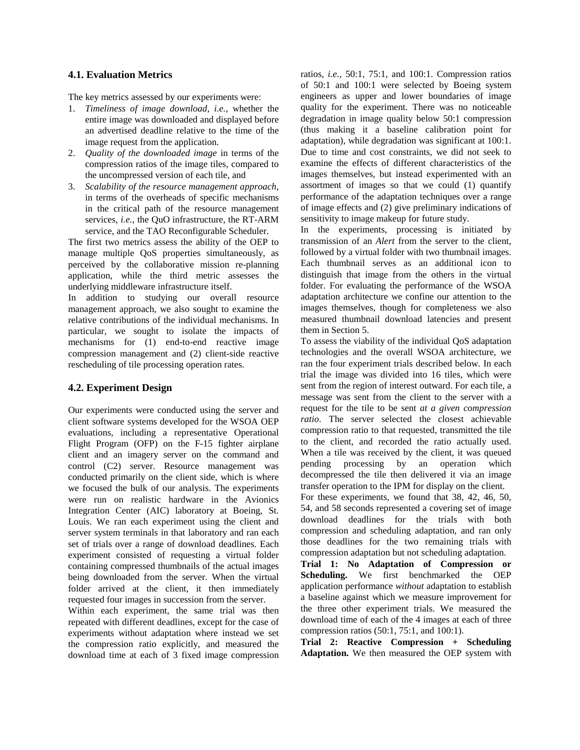#### **4.1. Evaluation Metrics**

The key metrics assessed by our experiments were:

- 1. *Timeliness of image download*, *i.e.*, whether the entire image was downloaded and displayed before an advertised deadline relative to the time of the image request from the application.
- 2. *Quality of the downloaded image* in terms of the compression ratios of the image tiles, compared to the uncompressed version of each tile, and
- 3. *Scalability of the resource management approach*, in terms of the overheads of specific mechanisms in the critical path of the resource management services, *i.e.*, the QuO infrastructure, the RT-ARM service, and the TAO Reconfigurable Scheduler.

The first two metrics assess the ability of the OEP to manage multiple QoS properties simultaneously, as perceived by the collaborative mission re-planning application, while the third metric assesses the underlying middleware infrastructure itself.

In addition to studying our overall resource management approach, we also sought to examine the relative contributions of the individual mechanisms. In particular, we sought to isolate the impacts of mechanisms for (1) end-to-end reactive image compression management and (2) client-side reactive rescheduling of tile processing operation rates.

### **4.2. Experiment Design**

Our experiments were conducted using the server and client software systems developed for the WSOA OEP evaluations, including a representative Operational Flight Program (OFP) on the F-15 fighter airplane client and an imagery server on the command and control (C2) server. Resource management was conducted primarily on the client side, which is where we focused the bulk of our analysis. The experiments were run on realistic hardware in the Avionics Integration Center (AIC) laboratory at Boeing, St. Louis. We ran each experiment using the client and server system terminals in that laboratory and ran each set of trials over a range of download deadlines. Each experiment consisted of requesting a virtual folder containing compressed thumbnails of the actual images being downloaded from the server. When the virtual folder arrived at the client, it then immediately requested four images in succession from the server.

Within each experiment, the same trial was then repeated with different deadlines, except for the case of experiments without adaptation where instead we set the compression ratio explicitly, and measured the download time at each of 3 fixed image compression ratios, *i.e.*, 50:1, 75:1, and 100:1. Compression ratios of 50:1 and 100:1 were selected by Boeing system engineers as upper and lower boundaries of image quality for the experiment. There was no noticeable degradation in image quality below 50:1 compression (thus making it a baseline calibration point for adaptation), while degradation was significant at 100:1. Due to time and cost constraints, we did not seek to examine the effects of different characteristics of the images themselves, but instead experimented with an assortment of images so that we could (1) quantify performance of the adaptation techniques over a range of image effects and (2) give preliminary indications of sensitivity to image makeup for future study.

In the experiments, processing is initiated by transmission of an *Alert* from the server to the client, followed by a virtual folder with two thumbnail images. Each thumbnail serves as an additional icon to distinguish that image from the others in the virtual folder. For evaluating the performance of the WSOA adaptation architecture we confine our attention to the images themselves, though for completeness we also measured thumbnail download latencies and present them in Section 5.

To assess the viability of the individual QoS adaptation technologies and the overall WSOA architecture, we ran the four experiment trials described below. In each trial the image was divided into 16 tiles, which were sent from the region of interest outward. For each tile, a message was sent from the client to the server with a request for the tile to be sent *at a given compression ratio*. The server selected the closest achievable compression ratio to that requested, transmitted the tile to the client, and recorded the ratio actually used. When a tile was received by the client, it was queued pending processing by an operation which decompressed the tile then delivered it via an image transfer operation to the IPM for display on the client.

For these experiments, we found that 38, 42, 46, 50, 54, and 58 seconds represented a covering set of image download deadlines for the trials with both compression and scheduling adaptation, and ran only those deadlines for the two remaining trials with compression adaptation but not scheduling adaptation.

**Trial 1: No Adaptation of Compression or Scheduling.** We first benchmarked the OEP application performance *without* adaptation to establish a baseline against which we measure improvement for the three other experiment trials. We measured the download time of each of the 4 images at each of three compression ratios (50:1, 75:1, and 100:1).

**Trial 2: Reactive Compression + Scheduling Adaptation.** We then measured the OEP system with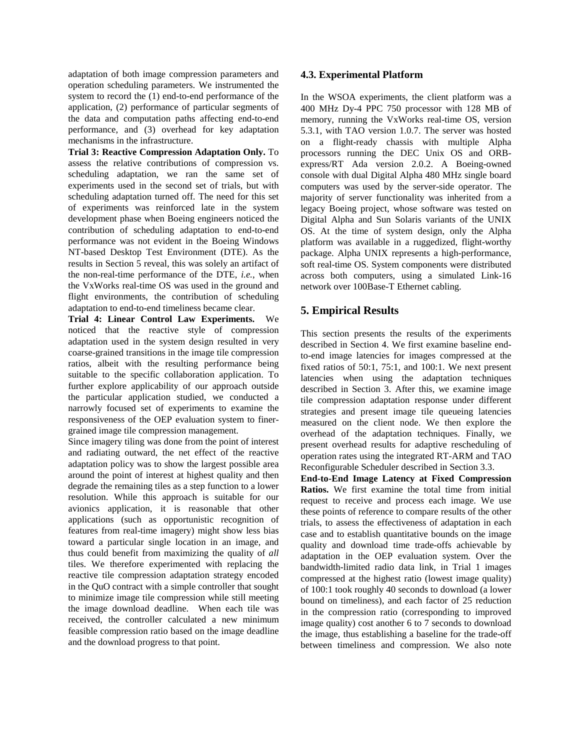adaptation of both image compression parameters and operation scheduling parameters. We instrumented the system to record the (1) end-to-end performance of the application, (2) performance of particular segments of the data and computation paths affecting end-to-end performance, and (3) overhead for key adaptation mechanisms in the infrastructure.

**Trial 3: Reactive Compression Adaptation Only.** To assess the relative contributions of compression vs. scheduling adaptation, we ran the same set of experiments used in the second set of trials, but with scheduling adaptation turned off. The need for this set of experiments was reinforced late in the system development phase when Boeing engineers noticed the contribution of scheduling adaptation to end-to-end performance was not evident in the Boeing Windows NT-based Desktop Test Environment (DTE). As the results in Section 5 reveal, this was solely an artifact of the non-real-time performance of the DTE, *i.e.*, when the VxWorks real-time OS was used in the ground and flight environments, the contribution of scheduling adaptation to end-to-end timeliness became clear.

**Trial 4: Linear Control Law Experiments.** We noticed that the reactive style of compression adaptation used in the system design resulted in very coarse-grained transitions in the image tile compression ratios, albeit with the resulting performance being suitable to the specific collaboration application. To further explore applicability of our approach outside the particular application studied, we conducted a narrowly focused set of experiments to examine the responsiveness of the OEP evaluation system to finergrained image tile compression management.

Since imagery tiling was done from the point of interest and radiating outward, the net effect of the reactive adaptation policy was to show the largest possible area around the point of interest at highest quality and then degrade the remaining tiles as a step function to a lower resolution. While this approach is suitable for our avionics application, it is reasonable that other applications (such as opportunistic recognition of features from real-time imagery) might show less bias toward a particular single location in an image, and thus could benefit from maximizing the quality of *all* tiles. We therefore experimented with replacing the reactive tile compression adaptation strategy encoded in the QuO contract with a simple controller that sought to minimize image tile compression while still meeting the image download deadline. When each tile was received, the controller calculated a new minimum feasible compression ratio based on the image deadline and the download progress to that point.

#### **4.3. Experimental Platform**

In the WSOA experiments, the client platform was a 400 MHz Dy-4 PPC 750 processor with 128 MB of memory, running the VxWorks real-time OS, version 5.3.1, with TAO version 1.0.7. The server was hosted on a flight-ready chassis with multiple Alpha processors running the DEC Unix OS and ORBexpress/RT Ada version 2.0.2. A Boeing-owned console with dual Digital Alpha 480 MHz single board computers was used by the server-side operator. The majority of server functionality was inherited from a legacy Boeing project, whose software was tested on Digital Alpha and Sun Solaris variants of the UNIX OS. At the time of system design, only the Alpha platform was available in a ruggedized, flight-worthy package. Alpha UNIX represents a high-performance, soft real-time OS. System components were distributed across both computers, using a simulated Link-16 network over 100Base-T Ethernet cabling.

### **5. Empirical Results**

This section presents the results of the experiments described in Section 4. We first examine baseline endto-end image latencies for images compressed at the fixed ratios of 50:1, 75:1, and 100:1. We next present latencies when using the adaptation techniques described in Section 3. After this, we examine image tile compression adaptation response under different strategies and present image tile queueing latencies measured on the client node. We then explore the overhead of the adaptation techniques. Finally, we present overhead results for adaptive rescheduling of operation rates using the integrated RT-ARM and TAO Reconfigurable Scheduler described in Section 3.3.

**End-to-End Image Latency at Fixed Compression Ratios.** We first examine the total time from initial request to receive and process each image. We use these points of reference to compare results of the other trials, to assess the effectiveness of adaptation in each case and to establish quantitative bounds on the image quality and download time trade-offs achievable by adaptation in the OEP evaluation system. Over the bandwidth-limited radio data link, in Trial 1 images compressed at the highest ratio (lowest image quality) of 100:1 took roughly 40 seconds to download (a lower bound on timeliness), and each factor of 25 reduction in the compression ratio (corresponding to improved image quality) cost another 6 to 7 seconds to download the image, thus establishing a baseline for the trade-off between timeliness and compression. We also note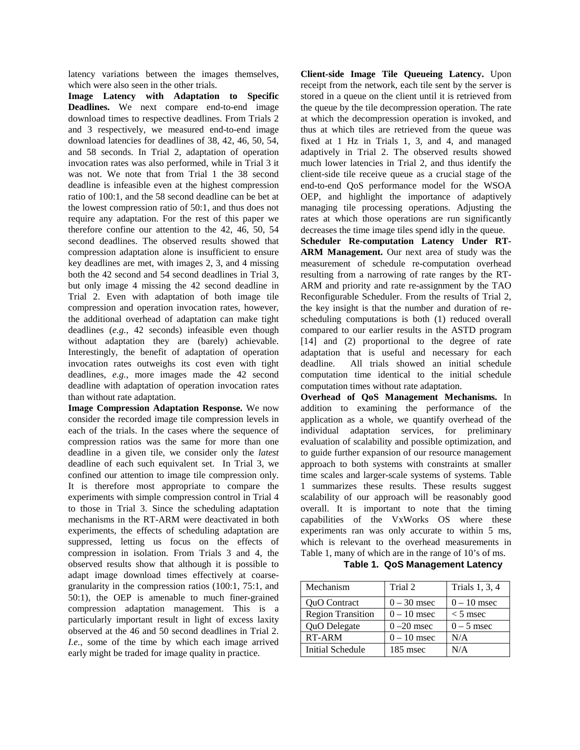latency variations between the images themselves, which were also seen in the other trials.

**Image Latency with Adaptation to Specific Deadlines.** We next compare end-to-end image download times to respective deadlines. From Trials 2 and 3 respectively, we measured end-to-end image download latencies for deadlines of 38, 42, 46, 50, 54, and 58 seconds. In Trial 2, adaptation of operation invocation rates was also performed, while in Trial 3 it was not. We note that from Trial 1 the 38 second deadline is infeasible even at the highest compression ratio of 100:1, and the 58 second deadline can be bet at the lowest compression ratio of 50:1, and thus does not require any adaptation. For the rest of this paper we therefore confine our attention to the 42, 46, 50, 54 second deadlines. The observed results showed that compression adaptation alone is insufficient to ensure key deadlines are met, with images 2, 3, and 4 missing both the 42 second and 54 second deadlines in Trial 3, but only image 4 missing the 42 second deadline in Trial 2. Even with adaptation of both image tile compression and operation invocation rates, however, the additional overhead of adaptation can make tight deadlines (*e.g.*, 42 seconds) infeasible even though without adaptation they are (barely) achievable. Interestingly, the benefit of adaptation of operation invocation rates outweighs its cost even with tight deadlines, *e.g.*, more images made the 42 second deadline with adaptation of operation invocation rates than without rate adaptation.

**Image Compression Adaptation Response.** We now consider the recorded image tile compression levels in each of the trials. In the cases where the sequence of compression ratios was the same for more than one deadline in a given tile, we consider only the *latest* deadline of each such equivalent set. In Trial 3, we confined our attention to image tile compression only. It is therefore most appropriate to compare the experiments with simple compression control in Trial 4 to those in Trial 3. Since the scheduling adaptation mechanisms in the RT-ARM were deactivated in both experiments, the effects of scheduling adaptation are suppressed, letting us focus on the effects of compression in isolation. From Trials 3 and 4, the observed results show that although it is possible to adapt image download times effectively at coarsegranularity in the compression ratios (100:1, 75:1, and 50:1), the OEP is amenable to much finer-grained compression adaptation management. This is a particularly important result in light of excess laxity observed at the 46 and 50 second deadlines in Trial 2. *I.e.*, some of the time by which each image arrived early might be traded for image quality in practice.

**Client-side Image Tile Queueing Latency.** Upon receipt from the network, each tile sent by the server is stored in a queue on the client until it is retrieved from the queue by the tile decompression operation. The rate at which the decompression operation is invoked, and thus at which tiles are retrieved from the queue was fixed at 1 Hz in Trials 1, 3, and 4, and managed adaptively in Trial 2. The observed results showed much lower latencies in Trial 2, and thus identify the client-side tile receive queue as a crucial stage of the end-to-end QoS performance model for the WSOA OEP, and highlight the importance of adaptively managing tile processing operations. Adjusting the rates at which those operations are run significantly decreases the time image tiles spend idly in the queue.

**Scheduler Re-computation Latency Under RT-ARM Management.** Our next area of study was the measurement of schedule re-computation overhead resulting from a narrowing of rate ranges by the RT-ARM and priority and rate re-assignment by the TAO Reconfigurable Scheduler. From the results of Trial 2, the key insight is that the number and duration of rescheduling computations is both (1) reduced overall compared to our earlier results in the ASTD program [14] and (2) proportional to the degree of rate adaptation that is useful and necessary for each deadline. All trials showed an initial schedule computation time identical to the initial schedule computation times without rate adaptation.

**Overhead of QoS Management Mechanisms.** In addition to examining the performance of the application as a whole, we quantify overhead of the individual adaptation services, for preliminary evaluation of scalability and possible optimization, and to guide further expansion of our resource management approach to both systems with constraints at smaller time scales and larger-scale systems of systems. Table 1 summarizes these results. These results suggest scalability of our approach will be reasonably good overall. It is important to note that the timing capabilities of the VxWorks OS where these experiments ran was only accurate to within 5 ms, which is relevant to the overhead measurements in Table 1, many of which are in the range of 10's of ms.

**Table 1. QoS Management Latency**

| Mechanism                | Trial 2       | Trials 1, 3, 4 |
|--------------------------|---------------|----------------|
| QuO Contract             | $0-30$ msec   | $0-10$ msec    |
| <b>Region Transition</b> | $0-10$ msec   | $<$ 5 msec     |
| QuO Delegate             | $0 - 20$ msec | $0-5$ msec     |
| RT-ARM                   | $0-10$ msec   | N/A            |
| <b>Initial Schedule</b>  | $185$ msec    | N/A            |